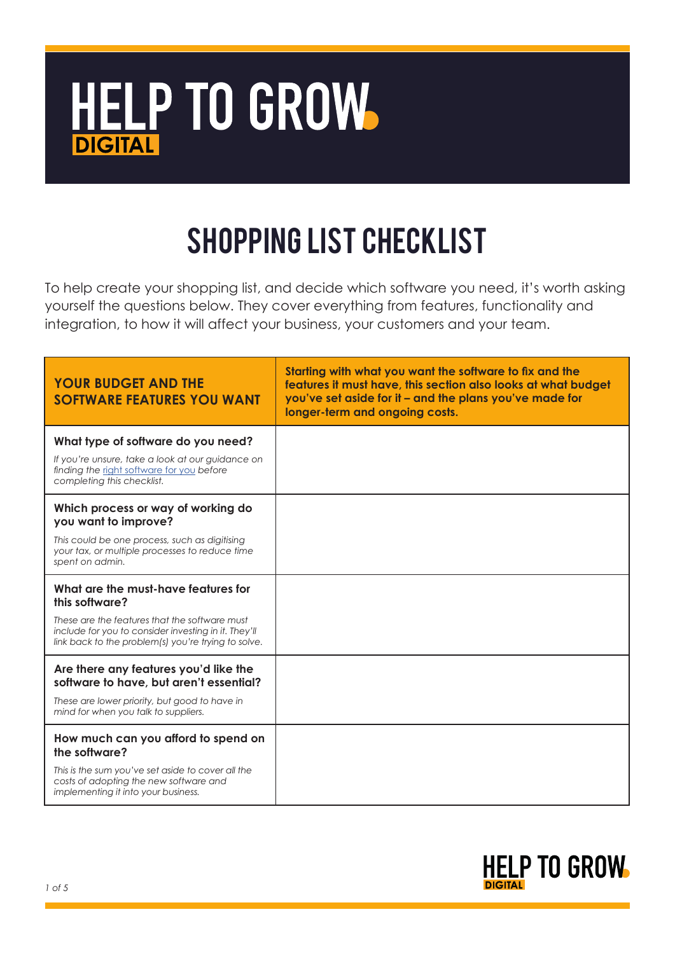

## Shopping List Checklist

To help create your shopping list, and decide which software you need, it's worth asking yourself the questions below. They cover everything from features, functionality and integration, to how it will affect your business, your customers and your team.

| <b>YOUR BUDGET AND THE</b><br><b>SOFTWARE FEATURES YOU WANT</b>                                                                                                                                                       | Starting with what you want the software to fix and the<br>features it must have, this section also looks at what budget<br>you've set aside for it - and the plans you've made for<br>longer-term and ongoing costs. |
|-----------------------------------------------------------------------------------------------------------------------------------------------------------------------------------------------------------------------|-----------------------------------------------------------------------------------------------------------------------------------------------------------------------------------------------------------------------|
| What type of software do you need?<br>If you're unsure, take a look at our quidance on<br>finding the right software for you before<br>completing this checklist.                                                     |                                                                                                                                                                                                                       |
| Which process or way of working do<br>you want to improve?<br>This could be one process, such as digitising<br>your tax, or multiple processes to reduce time<br>spent on admin.                                      |                                                                                                                                                                                                                       |
| What are the must-have features for<br>this software?<br>These are the features that the software must<br>include for you to consider investing in it. They'll<br>link back to the problem(s) you're trying to solve. |                                                                                                                                                                                                                       |
| Are there any features you'd like the<br>software to have, but aren't essential?<br>These are lower priority, but good to have in<br>mind for when you talk to suppliers.                                             |                                                                                                                                                                                                                       |
| How much can you afford to spend on<br>the software?<br>This is the sum you've set aside to cover all the<br>costs of adopting the new software and<br>implementing it into your business.                            |                                                                                                                                                                                                                       |

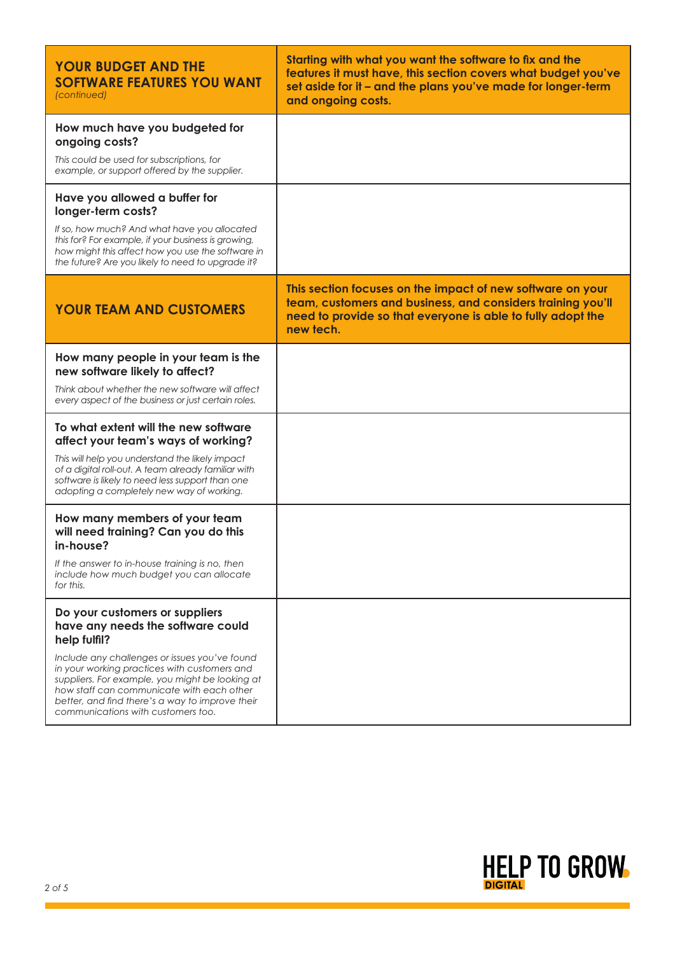| <b>YOUR BUDGET AND THE</b><br><b>SOFTWARE FEATURES YOU WANT</b><br>(continued)                                                                                                                                                                                                         | Starting with what you want the software to fix and the<br>features it must have, this section covers what budget you've<br>set aside for it - and the plans you've made for longer-term<br>and ongoing costs. |
|----------------------------------------------------------------------------------------------------------------------------------------------------------------------------------------------------------------------------------------------------------------------------------------|----------------------------------------------------------------------------------------------------------------------------------------------------------------------------------------------------------------|
| How much have you budgeted for<br>ongoing costs?                                                                                                                                                                                                                                       |                                                                                                                                                                                                                |
| This could be used for subscriptions, for<br>example, or support offered by the supplier.                                                                                                                                                                                              |                                                                                                                                                                                                                |
| Have you allowed a buffer for<br>longer-term costs?                                                                                                                                                                                                                                    |                                                                                                                                                                                                                |
| If so, how much? And what have you allocated<br>this for? For example, if your business is growing,<br>how might this affect how you use the software in<br>the future? Are you likely to need to upgrade it?                                                                          |                                                                                                                                                                                                                |
| <b>YOUR TEAM AND CUSTOMERS</b>                                                                                                                                                                                                                                                         | This section focuses on the impact of new software on your<br>team, customers and business, and considers training you'll<br>need to provide so that everyone is able to fully adopt the<br>new tech.          |
| How many people in your team is the<br>new software likely to affect?                                                                                                                                                                                                                  |                                                                                                                                                                                                                |
| Think about whether the new software will affect<br>every aspect of the business or just certain roles.                                                                                                                                                                                |                                                                                                                                                                                                                |
| To what extent will the new software<br>affect your team's ways of working?                                                                                                                                                                                                            |                                                                                                                                                                                                                |
| This will help you understand the likely impact<br>of a digital roll-out. A team already familiar with<br>software is likely to need less support than one<br>adopting a completely new way of working.                                                                                |                                                                                                                                                                                                                |
| How many members of your team<br>will need training? Can you do this<br>in-house?                                                                                                                                                                                                      |                                                                                                                                                                                                                |
| If the answer to in-house training is no, then<br>include how much budget you can allocate<br>for this.                                                                                                                                                                                |                                                                                                                                                                                                                |
| Do your customers or suppliers<br>have any needs the software could<br>help fulfil?                                                                                                                                                                                                    |                                                                                                                                                                                                                |
| Include any challenges or issues you've found<br>in your working practices with customers and<br>suppliers. For example, you might be looking at<br>how staff can communicate with each other<br>better, and find there's a way to improve their<br>communications with customers too. |                                                                                                                                                                                                                |

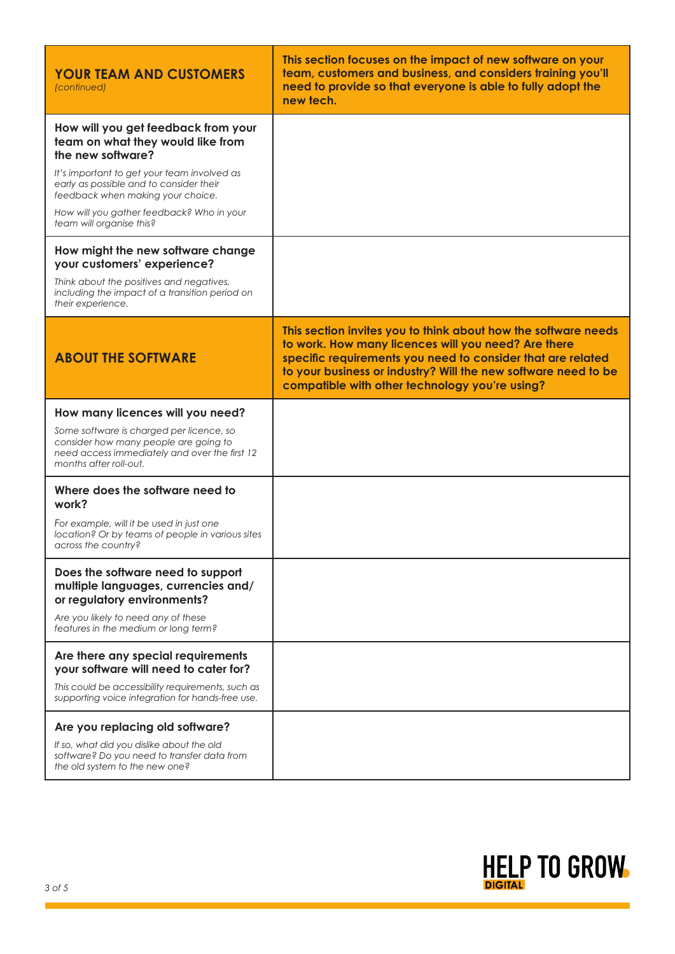| <b>YOUR TEAM AND CUSTOMERS</b><br>(continued)                                                                                                                                                                                                                                                         | This section focuses on the impact of new software on your<br>team, customers and business, and considers training you'll<br>need to provide so that everyone is able to fully adopt the<br>new tech.                                                                                                    |
|-------------------------------------------------------------------------------------------------------------------------------------------------------------------------------------------------------------------------------------------------------------------------------------------------------|----------------------------------------------------------------------------------------------------------------------------------------------------------------------------------------------------------------------------------------------------------------------------------------------------------|
| How will you get feedback from your<br>team on what they would like from<br>the new software?<br>It's important to get your team involved as<br>early as possible and to consider their<br>feedback when making your choice.<br>How will you gather feedback? Who in your<br>team will organise this? |                                                                                                                                                                                                                                                                                                          |
| How might the new software change<br>your customers' experience?<br>Think about the positives and negatives,<br>including the impact of a transition period on<br>their experience.                                                                                                                   |                                                                                                                                                                                                                                                                                                          |
| <b>ABOUT THE SOFTWARE</b>                                                                                                                                                                                                                                                                             | This section invites you to think about how the software needs<br>to work. How many licences will you need? Are there<br>specific requirements you need to consider that are related<br>to your business or industry? Will the new software need to be<br>compatible with other technology you're using? |
| How many licences will you need?<br>Some software is charged per licence, so<br>consider how many people are going to<br>need access immediately and over the first 12<br>months after roll-out.                                                                                                      |                                                                                                                                                                                                                                                                                                          |
| Where does the software need to<br>work?<br>For example, will it be used in just one<br>location? Or by teams of people in various sites<br>across the country?                                                                                                                                       |                                                                                                                                                                                                                                                                                                          |
| Does the software need to support<br>multiple languages, currencies and/<br>or regulatory environments?<br>Are you likely to need any of these<br>features in the medium or long term?                                                                                                                |                                                                                                                                                                                                                                                                                                          |
| Are there any special requirements<br>your software will need to cater for?<br>This could be accessibility requirements, such as<br>supporting voice integration for hands-free use.                                                                                                                  |                                                                                                                                                                                                                                                                                                          |
| Are you replacing old software?<br>If so, what did you dislike about the old<br>software? Do you need to transfer data from<br>the old system to the new one?                                                                                                                                         |                                                                                                                                                                                                                                                                                                          |

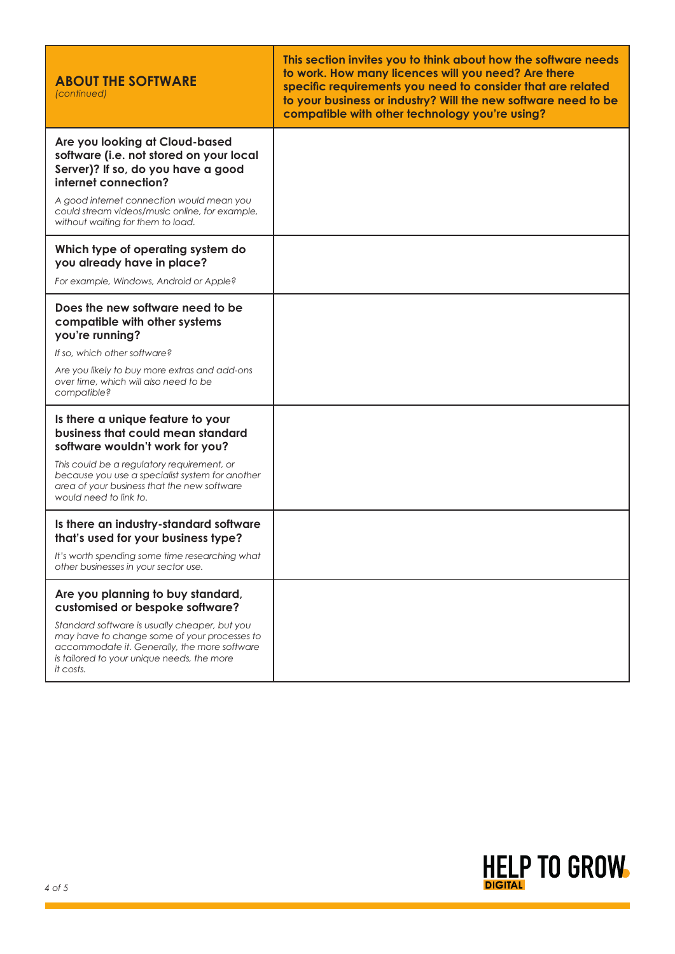| <b>ABOUT THE SOFTWARE</b><br>(continued)                                                                                                                                                                 | This section invites you to think about how the software needs<br>to work. How many licences will you need? Are there<br>specific requirements you need to consider that are related<br>to your business or industry? Will the new software need to be<br>compatible with other technology you're using? |
|----------------------------------------------------------------------------------------------------------------------------------------------------------------------------------------------------------|----------------------------------------------------------------------------------------------------------------------------------------------------------------------------------------------------------------------------------------------------------------------------------------------------------|
| Are you looking at Cloud-based<br>software (i.e. not stored on your local<br>Server)? If so, do you have a good<br>internet connection?                                                                  |                                                                                                                                                                                                                                                                                                          |
| A good internet connection would mean you<br>could stream videos/music online, for example,<br>without waiting for them to load.                                                                         |                                                                                                                                                                                                                                                                                                          |
| Which type of operating system do<br>you already have in place?                                                                                                                                          |                                                                                                                                                                                                                                                                                                          |
| For example, Windows, Android or Apple?                                                                                                                                                                  |                                                                                                                                                                                                                                                                                                          |
| Does the new software need to be<br>compatible with other systems<br>you're running?                                                                                                                     |                                                                                                                                                                                                                                                                                                          |
| If so, which other software?                                                                                                                                                                             |                                                                                                                                                                                                                                                                                                          |
| Are you likely to buy more extras and add-ons<br>over time, which will also need to be<br>compatible?                                                                                                    |                                                                                                                                                                                                                                                                                                          |
| Is there a unique feature to your<br>business that could mean standard<br>software wouldn't work for you?                                                                                                |                                                                                                                                                                                                                                                                                                          |
| This could be a regulatory requirement, or<br>because you use a specialist system for another<br>area of your business that the new software<br>would need to link to.                                   |                                                                                                                                                                                                                                                                                                          |
| Is there an industry-standard software<br>that's used for your business type?                                                                                                                            |                                                                                                                                                                                                                                                                                                          |
| It's worth spending some time researching what<br>other businesses in your sector use.                                                                                                                   |                                                                                                                                                                                                                                                                                                          |
| Are you planning to buy standard,<br>customised or bespoke software?                                                                                                                                     |                                                                                                                                                                                                                                                                                                          |
| Standard software is usually cheaper, but you<br>may have to change some of your processes to<br>accommodate it. Generally, the more software<br>is tailored to your unique needs, the more<br>it costs. |                                                                                                                                                                                                                                                                                                          |